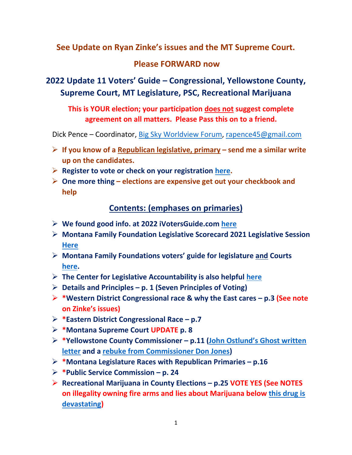## **See Update on Ryan Zinke's issues and the MT Supreme Court.**

## **Please FORWARD now**

# **2022 Update 11 Voters' Guide – Congressional, Yellowstone County, Supreme Court, MT Legislature, PSC, Recreational Marijuana**

**This is YOUR election; your participation does not suggest complete agreement on all matters. Please Pass this on to a friend.**

Dick Pence – Coordinator, [Big Sky Worldview Forum,](https://www.bigskyworldview.org/) [rapence45@gmail.com](mailto:rapence45@gmail.com)

- ➢ **If you know of a Republican legislative, primary – send me a similar write up on the candidates.**
- ➢ **Register to vote or check on your registration [here.](Register%20to%20vote%20or%20check%20on%20your%20registration%20here.)**
- ➢ **One more thing – elections are expensive get out your checkbook and help**

## **Contents: (emphases on primaries)**

- ➢ **We found good info. at 2022 iVotersGuide.com [here](https://ivoterguide.com/all-in-state/Montana/?ElecK=877)**
- ➢ **Montana Family Foundation Legislative Scorecard 2021 Legislative Session [Here](https://www.montanafamily.org/wp-content/uploads/2021/06/258262-Scorecard.pdf)**
- ➢ **Montana Family Foundations voters' guide for legislature and Courts [here.](https://montanavoterguide.com/)**
- ➢ **The Center for Legislative Accountability is also helpful [here](https://www.bigskyworldview.org/content/docs/Library/ACU_Ratings_MT-2021.pdf)**
- ➢ **Details and Principles – p. 1 (Seven Principles of Voting)**
- ➢ **\*Western District Congressional race & why the East cares – p.3 (See note on Zinke's issues)**
- ➢ **\*Eastern District Congressional Race – p.7**
- ➢ **\*Montana Supreme Court UPDATE p. 8**
- ➢ **\*Yellowstone County Commissioner – p.11 ([John Ostlund's Ghos](https://www.bigskyworldview.org/content/docs/Library/Pitman_and_Jones_are_Hurting_MetraPark_and_Its_Future.pdf)t written [letter](https://www.bigskyworldview.org/content/docs/Library/Pitman_and_Jones_are_Hurting_MetraPark_and_Its_Future.pdf) and a [rebuke from Commissioner Don Jones\)](https://www.bigskyworldview.org/content/docs/Library/Dear_Editor_John_Ostlund_5-3-22_Rev_D.pdf)**
- ➢ **\*Montana Legislature Races with Republican Primaries – p.16**
- ➢ **\*Public Service Commission – p. 24**
- ➢ **Recreational Marijuana in County Elections – p.25 VOTE YES (See NOTES on illegality owning fire arms and lies about Marijuana below [this drug is](https://www.bigskyworldview.org/content/docs/Library/MarijuanaMentak_Illness_and_Violence_Imprimis_Jan_8pg.pdf)  [devastating\)](https://www.bigskyworldview.org/content/docs/Library/MarijuanaMentak_Illness_and_Violence_Imprimis_Jan_8pg.pdf)**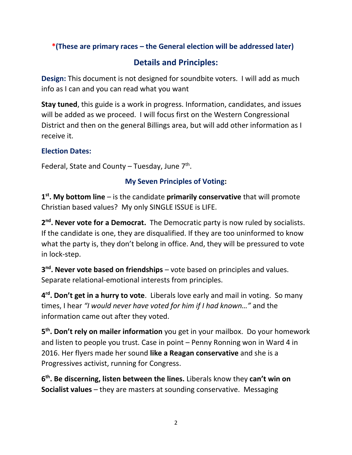## **\*(These are primary races – the General election will be addressed later)**

# **Details and Principles:**

**Design:** This document is not designed for soundbite voters. I will add as much info as I can and you can read what you want

**Stay tuned**, this guide is a work in progress. Information, candidates, and issues will be added as we proceed. I will focus first on the Western Congressional District and then on the general Billings area, but will add other information as I receive it.

### **Election Dates:**

Federal, State and County - Tuesday, June 7<sup>th</sup>.

### **My Seven Principles of Voting:**

**1 st. My bottom line** – is the candidate **primarily conservative** that will promote Christian based values? My only SINGLE ISSUE is LIFE.

2<sup>nd</sup>. Never vote for a Democrat. The Democratic party is now ruled by socialists. If the candidate is one, they are disqualified. If they are too uninformed to know what the party is, they don't belong in office. And, they will be pressured to vote in lock-step.

**3<sup>nd</sup>. Never vote based on friendships** – vote based on principles and values. Separate relational-emotional interests from principles.

**4 rd. Don't get in a hurry to vote**. Liberals love early and mail in voting. So many times, I hear *"I would never have voted for him if I had known…"* and the information came out after they voted.

**5 th. Don't rely on mailer information** you get in your mailbox. Do your homework and listen to people you trust. Case in point – Penny Ronning won in Ward 4 in 2016. Her flyers made her sound **like a Reagan conservative** and she is a Progressives activist, running for Congress.

**6 th. Be discerning, listen between the lines.** Liberals know they **can't win on Socialist values** – they are masters at sounding conservative. Messaging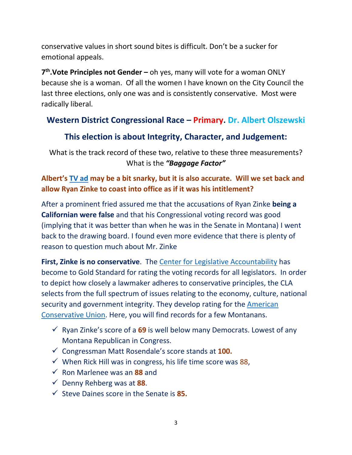conservative values in short sound bites is difficult. Don't be a sucker for emotional appeals.

**7 th.Vote Principles not Gender –** oh yes, many will vote for a woman ONLY because she is a woman. Of all the women I have known on the City Council the last three elections, only one was and is consistently conservative. Most were radically liberal.

# **Western District Congressional Race – Primary. Dr. Albert Olszewski**

# **This election is about Integrity, Character, and Judgement:**

What is the track record of these two, relative to these three measurements? What is the *"Baggage Factor"*

### **Albert's [TV ad](https://secure.winred.com/al-for-montana/donate-today-may-generic-2?utm_medium=emailit&utm_campaign=20220527_update-gen-ad&utm_source=it&utm_content=sa&amount=50) may be a bit snarky, but it is also accurate. Will we set back and allow Ryan Zinke to coast into office as if it was his intitlement?**

After a prominent fried assured me that the accusations of Ryan Zinke **being a Californian were false** and that his Congressional voting record was good (implying that it was better than when he was in the Senate in Montana) I went back to the drawing board. I found even more evidence that there is plenty of reason to question much about Mr. Zinke

**First, Zinke is no conservative**. The [Center for Legislative Accountability](http://ratings.conservative.org/about) has become to Gold Standard for rating the voting records for all legislators. In order to depict how closely a lawmaker adheres to conservative principles, the CLA selects from the full spectrum of issues relating to the economy, culture, national security and government integrity. They develop rating for the [American](http://ratings.conservative.org/people?chamber=H&level=state&limit=1000&orderBy=rating&party=R&search=Steve%20Daine&state=US&year)  [Conservative Union.](http://ratings.conservative.org/people?chamber=H&level=state&limit=1000&orderBy=rating&party=R&search=Steve%20Daine&state=US&year) Here, you will find records for a few Montanans.

- ✓ Ryan Zinke's score of a **69** is well below many Democrats. Lowest of any Montana Republican in Congress.
- ✓ Congressman Matt Rosendale's score stands at **100.**
- $\checkmark$  When Rick Hill was in congress, his life time score was 88,
- ✓ Ron Marlenee was an **88** and
- ✓ Denny Rehberg was at **88**.
- ✓ Steve Daines score in the Senate is **85.**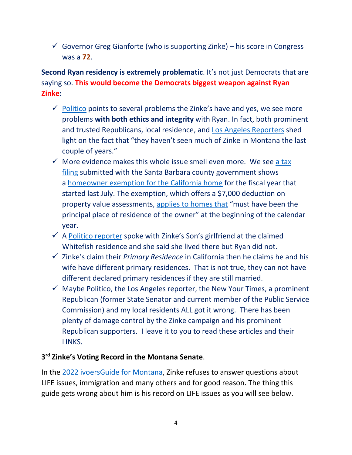$\checkmark$  Governor Greg Gianforte (who is supporting Zinke) – his score in Congress was a **72**.

## **Second Ryan residency is extremely problematic**. It's not just Democrats that are saying so. **This would become the Democrats biggest weapon against Ryan Zinke:**

- $\checkmark$  [Politico](https://www.politico.com/news/2022/05/13/zinkes-wife-primary-residence-california-montana-00032405) points to several problems the Zinke's have and yes, we see more problems **with both ethics and integrity** with Ryan. In fact, both prominent and trusted Republicans, local residence, and [Los Angeles Reporters](https://www.politico.com/news/magazine/2021/10/08/ryan-zinke-congress-montana-santa-barbara-2022-514780) shed light on the fact that "they haven't seen much of Zinke in Montana the last couple of years."
- $\checkmark$  More evidence makes this whole issue smell even more. We see a tax [filing](https://static.politico.com/e4/81/e92dc4e14d62a58b57a6db146dd4/homestead-exemption-redacted.pdf) submitted with the Santa Barbara county government shows a [homeowner exemption for the California home](https://static.politico.com/00/ac/c5ddbd144ae8a2216968a6fe8d97/reconveyence-redacted.pdf) for the fiscal year that started last July. The exemption, which offers a \$7,000 deduction on property value assessments, [applies to homes that](https://www.boe.ca.gov/proptaxes/homeowners_exemption.htm) "must have been the principal place of residence of the owner" at the beginning of the calendar year.
- $\checkmark$  A [Politico reporter](https://www.politico.com/news/magazine/2021/10/08/ryan-zinke-congress-montana-santa-barbara-2022-514780) spoke with Zinke's Son's girlfriend at the claimed Whitefish residence and she said she lived there but Ryan did not.
- ✓ Zinke's claim their *Primary Residence* in California then he claims he and his wife have different primary residences. That is not true, they can not have different declared primary residences if they are still married.
- $\checkmark$  Maybe Politico, the Los Angeles reporter, the New Your Times, a prominent Republican (former State Senator and current member of the Public Service Commission) and my local residents ALL got it wrong. There has been plenty of damage control by the Zinke campaign and his prominent Republican supporters. I leave it to you to read these articles and their LINKS.

#### **3 rd Zinke's Voting Record in the Montana Senate**.

In the [2022 ivoersGuide for Montana,](https://ivoterguide.com/all-in-state/Montana/?ElecK=877) Zinke refuses to answer questions about LIFE issues, immigration and many others and for good reason. The thing this guide gets wrong about him is his record on LIFE issues as you will see below.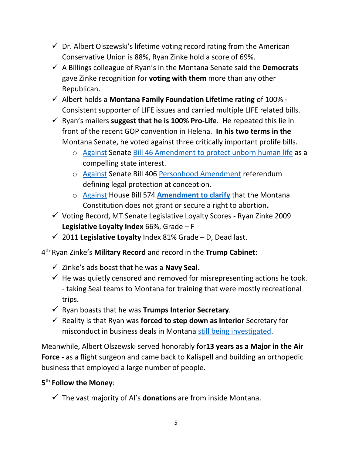- $\checkmark$  Dr. Albert Olszewski's lifetime voting record rating from the American Conservative Union is 88%, Ryan Zinke hold a score of 69%.
- ✓ A Billings colleague of Ryan's in the Montana Senate said the **Democrats** gave Zinke recognition for **voting with them** more than any other Republican.
- ✓ Albert holds a **Montana Family Foundation Lifetime rating** of 100% Consistent supporter of LIFE issues and carried multiple LIFE related bills.
- ✓ Ryan's mailers **suggest that he is 100% Pro-Life**. He repeated this lie in front of the recent GOP convention in Helena. **In his two terms in the**  Montana Senate, he voted against three critically important prolife bills.
	- o [Against](LAWS%20Vote%20Tabulation%20Information%20Page%20(mt.gov)) Senate [Bill 46 Amendment to protect unborn human life](https://leg.mt.gov/bills/2009/billhtml/SB0046.htm) as a compelling state interest.
	- o [Against](LAWS%20Vote%20Tabulation%20Information%20Page%20(mt.gov)) Senate Bill 406 [Personhood Amendment](https://leg.mt.gov/bills/2009/billhtml/SB0406.htm) referendum defining legal protection at conception.
	- o [Against](file:///C:/Users/Dick/Documents/Christian%20Worldview%20Jan%2029/Billings%20Christian%20Foundation/Artilces%20Focus/Albert%20for%20Congress/LAWS%20Vote%20Tabulation%20Information%20Page%20(mt.gov)) House Bill 574 **[Amendment to clarify](https://leg.mt.gov/bills/2011/billhtml/HB0574.htm)** that the Montana Constitution does not grant or secure a right to abortion**.**
- ✓ Voting Record, MT Senate Legislative Loyalty Scores Ryan Zinke 2009 **Legislative Loyalty Index** 66%, Grade – F
- ✓ 2011 **Legislative Loyalty** Index 81% Grade D, Dead last.

4 th Ryan Zinke's **Military Record** and record in the **Trump Cabinet**:

- ✓ Zinke's ads boast that he was a **Navy Seal.**
- $\checkmark$  He was quietly censored and removed for misrepresenting actions he took. - taking Seal teams to Montana for training that were mostly recreational trips.
- ✓ Ryan boasts that he was **Trumps Interior Secretary**.
- ✓ Reality is that Ryan was **forced to step down as Interior** Secretary for misconduct in business deals in Montana [still being investigated.](https://helenair.com/news/national/investigation-zinke-misused-position-as-interior-secretary/article_64853e89-cb8f-5734-9442-57bc0127d449.html#tracking-source=most-popular-homepage)

Meanwhile, Albert Olszewski served honorably for**13 years as a Major in the Air Force -** as a flight surgeon and came back to Kalispell and building an orthopedic business that employed a large number of people.

### **5 th Follow the Money**:

✓ The vast majority of Al's **donations** are from inside Montana.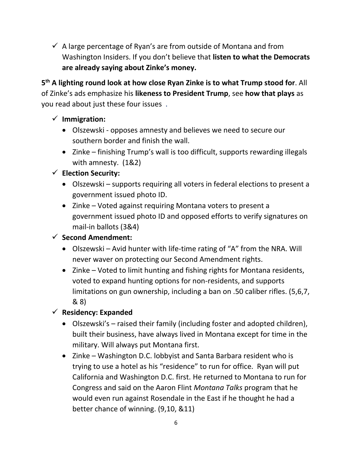$\checkmark$  A large percentage of Ryan's are from outside of Montana and from Washington Insiders. If you don't believe that **listen to what the Democrats are already saying about Zinke's money.** 

**5 th A lighting round look at how close Ryan Zinke is to what Trump stood for**. All of Zinke's ads emphasize his **likeness to President Trump**, see **how that plays** as you read about just these four issues .

- ✓ **Immigration:** 
	- Olszewski opposes amnesty and believes we need to secure our southern border and finish the wall.
	- Zinke finishing Trump's wall is too difficult, supports rewarding illegals with amnesty. (1&2)

# ✓ **Election Security:**

- Olszewski supports requiring all voters in federal elections to present a government issued photo ID.
- Zinke Voted against requiring Montana voters to present a government issued photo ID and opposed efforts to verify signatures on mail-in ballots (3&4)

# ✓ **Second Amendment:**

- Olszewski Avid hunter with life-time rating of "A" from the NRA. Will never waver on protecting our Second Amendment rights.
- Zinke Voted to limit hunting and fishing rights for Montana residents, voted to expand hunting options for non-residents, and supports limitations on gun ownership, including a ban on .50 caliber rifles. (5,6,7, & 8)

# ✓ **Residency: Expanded**

- Olszewski's raised their family (including foster and adopted children), built their business, have always lived in Montana except for time in the military. Will always put Montana first.
- Zinke Washington D.C. lobbyist and Santa Barbara resident who is trying to use a hotel as his "residence" to run for office. Ryan will put California and Washington D.C. first. He returned to Montana to run for Congress and said on the Aaron Flint *Montana Talks* program that he would even run against Rosendale in the East if he thought he had a better chance of winning. (9,10, &11)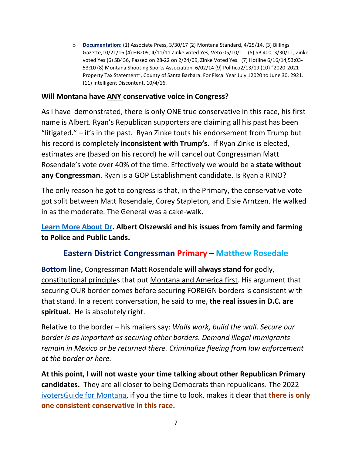o **Documentation:** (1) Associate Press, 3/30/17 (2) Montana Standard, 4/25/14. (3) Billings Gazette,10/21/16 (4) HB209, 4/11/11 Zinke voted Yes, Veto 05/10/11. (5) SB 400, 3/30/11, Zinke voted Yes (6) SB436, Passed on 28-22 on 2/24/09, Zinke Voted Yes. (7) Hotline 6/16/14,53:03- 53:10 (8) Montana Shooting Sports Association, 6/02/14 (9) Politico2/13/19 (10) "2020-2021 Property Tax Statement", County of Santa Barbara. For Fiscal Year July 12020 to June 30, 2921. (11) Intelligent Discontent, 10/4/16.

#### **Will Montana have ANY conservative voice in Congress?**

As I have demonstrated, there is only ONE true conservative in this race, his first name is Albert. Ryan's Republican supporters are claiming all his past has been "litigated."  $-$  it's in the past. Ryan Zinke touts his endorsement from Trump but his record is completely **inconsistent with Trump's**. If Ryan Zinke is elected, estimates are (based on his record) he will cancel out Congressman Matt Rosendale's vote over 40% of the time. Effectively we would be a **state without any Congressman**. Ryan is a GOP Establishment candidate. Is Ryan a RINO?

The only reason he got to congress is that, in the Primary, the conservative vote got split between Matt Rosendale, Corey Stapleton, and Elsie Arntzen. He walked in as the moderate. The General was a cake-walk**.** 

**[Learn More About Dr.](https://www.alformontana.com/issues/) Albert Olszewski and his issues from family and farming to Police and Public Lands.**

# **Eastern District Congressman Primary – Matthew Rosedale**

**Bottom line,** Congressman Matt Rosendale **will always stand for** godly, constitutional principles that put Montana and America first. His argument that securing OUR border comes before securing FOREIGN borders is consistent with that stand. In a recent conversation, he said to me, **the real issues in D.C. are spiritual.** He is absolutely right.

Relative to the border – his mailers say: *Walls work, build the wall. Secure our border is as important as securing other borders. Demand illegal immigrants remain in Mexico or be returned there. Criminalize fleeing from law enforcement at the border or here.* 

**At this point, I will not waste your time talking about other Republican Primary candidates.** They are all closer to being Democrats than republicans. The 2022 [ivotersGuide for Montana,](https://ivoterguide.com/all-in-state/Montana/?ElecK=877) if you the time to look, makes it clear that **there is only one consistent conservative in this race.**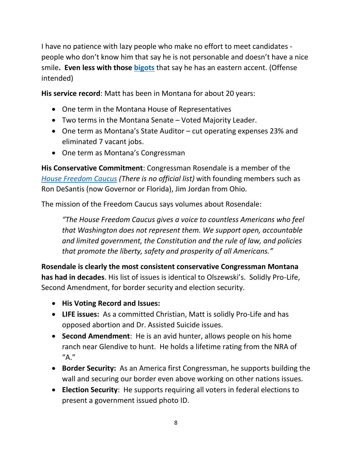I have no patience with lazy people who make no effort to meet candidates people who don't know him that say he is not personable and doesn't have a nice smile**. Even less with those [bigots](https://www.bing.com/search?q=bigotry+definition&qs=LS&pq=bigot&sk=AS1LS2&sc=8-5&cvid=C486D8EB247D4F2DA504407C48147E80&FORM=QBRE&sp=4)** that say he has an eastern accent. (Offense intended)

**His service record**: Matt has been in Montana for about 20 years:

- One term in the Montana House of Representatives
- Two terms in the Montana Senate Voted Majority Leader.
- One term as Montana's State Auditor cut operating expenses 23% and eliminated 7 vacant jobs.
- One term as Montana's Congressman

**His Conservative Commitment**: Congressman Rosendale is a member of the *[House Freedom Caucus](https://www.thoughtco.com/what-is-the-freedom-caucus-3368156) (There is no official list)* with founding members such as Ron DeSantis (now Governor or Florida), Jim Jordan from Ohio*.*

The mission of the Freedom Caucus says volumes about Rosendale:

*"The House Freedom Caucus gives a voice to countless Americans who feel that Washington does not represent them. We support open, accountable and limited government, the Constitution and the rule of law, and policies that promote the liberty, safety and prosperity of all Americans."*

**Rosendale is clearly the most consistent conservative Congressman Montana has had in decades**. His list of issues is identical to Olszewski's. Solidly Pro-Life, Second Amendment, for border security and election security.

- **His Voting Record and Issues:**
- **LIFE issues:** As a committed Christian, Matt is solidly Pro-Life and has opposed abortion and Dr. Assisted Suicide issues.
- **Second Amendment**: He is an avid hunter, allows people on his home ranch near Glendive to hunt. He holds a lifetime rating from the NRA of  $''A."$
- **Border Security:** As an America first Congressman, he supports building the wall and securing our border even above working on other nations issues.
- **Election Security**: He supports requiring all voters in federal elections to present a government issued photo ID.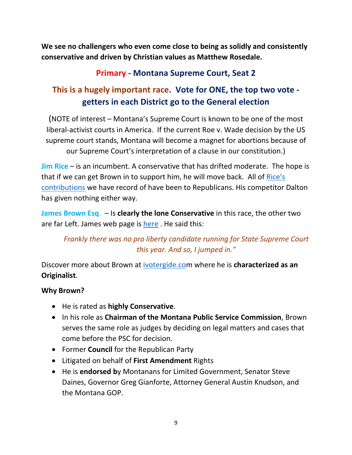**We see no challengers who even come close to being as solidly and consistently conservative and driven by Christian values as Matthew Rosedale.** 

# **Primary - Montana Supreme Court, Seat 2**

# **This is a hugely important race. Vote for ONE, the top two vote getters in each District go to the General election**

(NOTE of interest – Montana's Supreme Court is known to be one of the most liberal-activist courts in America. If the current Roe v. Wade decision by the US supreme court stands, Montana will become a magnet for abortions because of our Supreme Court's interpretation of a clause in our constitution.)

**Jim Rice** – is an incumbent. A conservative that has drifted moderate. The hope is that if we can get Brown in to support him, he will move back. All of [Rice's](https://montanavoterguide.com/)  [contributions](https://montanavoterguide.com/) we have record of have been to Republicans. His competitor Dalton has given nothing either way.

**James Brown Esq**. – Is **clearly the lone Conservative** in this race, the other two are far Left. James web page is [here](https://www.jamesbrownformontana.com/) . He said this*:* 

# *Frankly there was no pro liberty candidate running for State Supreme Court this year. And so, I jumped in."*

Discover more about Brown at [ivotergide.com](https://ivoterguide.com/all-in-state/Montana/?ElecK=877) where he is **characterized as an Originalist**.

### **Why Brown?**

- He is rated as **highly Conservative**.
- In his role as **Chairman of the Montana Public Service Commission**, Brown serves the same role as judges by deciding on legal matters and cases that come before the PSC for decision.
- Former **Council** for the Republican Party
- Litigated on behalf of **First Amendment** Rights
- He is **endorsed b**y Montanans for Limited Government, Senator Steve Daines, Governor Greg Gianforte, Attorney General Austin Knudson, and the Montana GOP.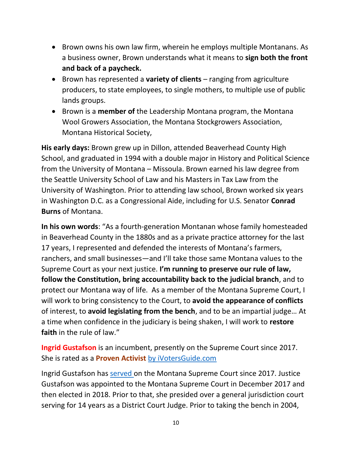- Brown owns his own law firm, wherein he employs multiple Montanans. As a business owner, Brown understands what it means to **sign both the front and back of a paycheck.**
- Brown has represented a **variety of clients** ranging from agriculture producers, to state employees, to single mothers, to multiple use of public lands groups.
- Brown is a **member of** the Leadership Montana program, the Montana Wool Growers Association, the Montana Stockgrowers Association, Montana Historical Society,

**His early days:** Brown grew up in Dillon, attended Beaverhead County High School, and graduated in 1994 with a double major in History and Political Science from the University of Montana – Missoula. Brown earned his law degree from the Seattle University School of Law and his Masters in Tax Law from the University of Washington. Prior to attending law school, Brown worked six years in Washington D.C. as a Congressional Aide, including for U.S. Senator **Conrad Burns** of Montana.

**In his own words**: "As a fourth-generation Montanan whose family homesteaded in Beaverhead County in the 1880s and as a private practice attorney for the last 17 years, I represented and defended the interests of Montana's farmers, ranchers, and small businesses—and I'll take those same Montana values to the Supreme Court as your next justice. **I'm running to preserve our rule of law, follow the Constitution, bring accountability back to the judicial branch**, and to protect our Montana way of life. As a member of the Montana Supreme Court, I will work to bring consistency to the Court, to **avoid the appearance of conflicts** of interest, to **avoid legislating from the bench**, and to be an impartial judge… At a time when confidence in the judiciary is being shaken, I will work to **restore faith** in the rule of law."

**Ingrid Gustafson** is an incumbent, presently on the Supreme Court since 2017. She is rated as a **Proven Activist** [by iVotersGuide.com](https://ivoterguide.com/all-in-state/Montana/?ElecK=877)

Ingrid Gustafson has [served](https://www.gustafsonformontana.com/about) on the Montana Supreme Court since 2017. Justice Gustafson was appointed to the Montana Supreme Court in December 2017 and then elected in 2018. Prior to that, she presided over a general jurisdiction court serving for 14 years as a District Court Judge. Prior to taking the bench in 2004,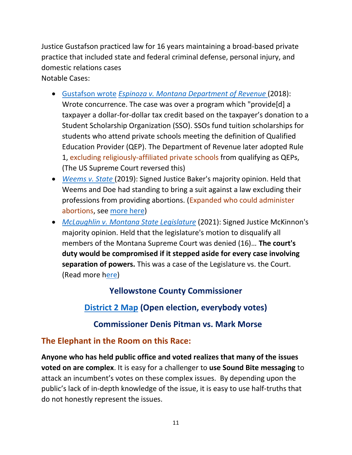Justice Gustafson practiced law for 16 years maintaining a broad-based private practice that included state and federal criminal defense, personal injury, and domestic relations cases

Notable Cases:

- [Gustafson](https://ivoterguide.com/candidate?elecK=877&raceK=17615&primarypartyk=N&canK=58986&&path=/all-in-state/Montana/) wrote *[Espinoza v. Montana Department of Revenue](https://cases.justia.com/montana/supreme-court/2018-da-17-0492.pdf?ts=1544638335)* (2018): Wrote concurrence. The case was over a program which "provide[d] a taxpayer a dollar-for-dollar tax credit based on the taxpayer's donation to a Student Scholarship Organization (SSO). SSOs fund tuition scholarships for students who attend private schools meeting the definition of Qualified Education Provider (QEP). The Department of Revenue later adopted Rule 1, excluding religiously-affiliated private schools from qualifying as QEPs, (The US Supreme Court reversed this)
- *[Weems v. State](https://cases.justia.com/montana/supreme-court/2019-da-18-0308.pdf?ts=1556316153)* (2019): Signed Justice Baker's majority opinion. Held that Weems and Doe had standing to bring a suit against a law excluding their professions from providing abortions. (Expanded who could administer abortions, see [more here\)](https://ivoterguide.com/candidate?elecK=877&raceK=17615&primarypartyk=N&canK=58986&&path=/all-in-state/Montana/)
- *McLaughlin [v. Montana State Legislature](https://ewscripps.brightspotcdn.com/93/96/b1e2476c4cccb07654bea227a602/opinion-published.pdf)* (2021): Signed Justice McKinnon's majority opinion. Held that the legislature's motion to disqualify all members of the Montana Supreme Court was denied (16)… **The court's duty would be compromised if it stepped aside for every case involving separation of powers.** This was a case of the Legislature vs. the Court. (Read more [here\)](https://ivoterguide.com/candidate?elecK=877&raceK=17615&primarypartyk=N&canK=58986&&path=/all-in-state/Montana/)

# **Yellowstone County Commissioner**

# **[District 2 Map](https://www.yellowstonecountymt.gov/Mapping/downloads/CommissionerDistricts.pdf) (Open election, everybody votes)**

# **Commissioner Denis Pitman vs. Mark Morse**

# **The Elephant in the Room on this Race:**

**Anyone who has held public office and voted realizes that many of the issues voted on are complex**. It is easy for a challenger to **use Sound Bite messaging** to attack an incumbent's votes on these complex issues. By depending upon the public's lack of in-depth knowledge of the issue, it is easy to use half-truths that do not honestly represent the issues.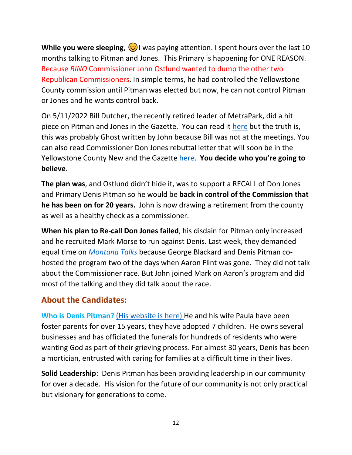**While you were sleeping,**  $\odot$  I was paying attention. I spent hours over the last 10 months talking to Pitman and Jones. This Primary is happening for ONE REASON. Because *RINO* Commissioner John Ostlund wanted to dump the other two Republican Commissioners. In simple terms, he had controlled the Yellowstone County commission until Pitman was elected but now, he can not control Pitman or Jones and he wants control back.

On 5/11/2022 Bill Dutcher, the recently retired leader of MetraPark, did a hit piece on Pitman and Jones in the Gazette. You can read it [here](https://www.bigskyworldview.org/content/docs/Library/Pitman_and_Jones_are_Hurting_MetraPark_and_Its_Future.pdf) but the truth is, this was probably Ghost written by John because Bill was not at the meetings. You can also read Commissioner Don Jones rebuttal letter that will soon be in the Yellowstone County New and the Gazette [here.](https://www.bigskyworldview.org/content/docs/Library/Dear_Editor_John_Ostlund_5-3-22_Rev_D.pdf) **You decide who you're going to believe**.

**The plan was**, and Ostlund didn't hide it, was to support a RECALL of Don Jones and Primary Denis Pitman so he would be **back in control of the Commission that he has been on for 20 years.** John is now drawing a retirement from the county as well as a healthy check as a commissioner.

**When his plan to Re-call Don Jones failed**, his disdain for Pitman only increased and he recruited Mark Morse to run against Denis. Last week, they demanded equal time on *[Montana Talks](https://montanatalks.com/show/montana-talks-with-aaron-flint/)* because George Blackard and Denis Pitman cohosted the program two of the days when Aaron Flint was gone. They did not talk about the Commissioner race. But John joined Mark on Aaron's program and did most of the talking and they did talk about the race.

## **About the Candidates:**

**Who is Denis Pitman?** [\(His website is here\)](https://denispitmanformontana.com/) He and his wife Paula have been foster parents for over 15 years, they have adopted 7 children. He owns several businesses and has officiated the funerals for hundreds of residents who were wanting God as part of their grieving process. For almost 30 years, Denis has been a mortician, entrusted with caring for families at a difficult time in their lives.

**Solid Leadership**: Denis Pitman has been providing leadership in our community for over a decade. His vision for the future of our community is not only practical but visionary for generations to come.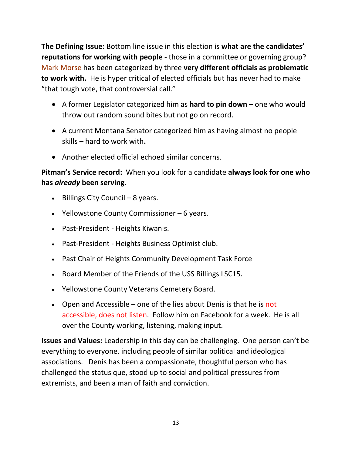**The Defining Issue:** Bottom line issue in this election is **what are the candidates' reputations for working with people** - those in a committee or governing group? Mark Morse has been categorized by three **very different officials as problematic to work with.** He is hyper critical of elected officials but has never had to make "that tough vote, that controversial call."

- A former Legislator categorized him as **hard to pin down** one who would throw out random sound bites but not go on record.
- A current Montana Senator categorized him as having almost no people skills – hard to work with**.**
- Another elected official echoed similar concerns.

**Pitman's Service record:** When you look for a candidate **always look for one who has** *already* **been serving.** 

- Billings City Council 8 years.
- Yellowstone County Commissioner 6 years.
- Past-President Heights Kiwanis.
- Past-President Heights Business Optimist club.
- Past Chair of Heights Community Development Task Force
- Board Member of the Friends of the USS Billings LSC15.
- Yellowstone County Veterans Cemetery Board.
- Open and Accessible one of the lies about Denis is that he is not accessible, does not listen. Follow him on Facebook for a week. He is all over the County working, listening, making input.

**Issues and Values:** Leadership in this day can be challenging. One person can't be everything to everyone, including people of similar political and ideological associations. Denis has been a compassionate, thoughtful person who has challenged the status que, stood up to social and political pressures from extremists, and been a man of faith and conviction.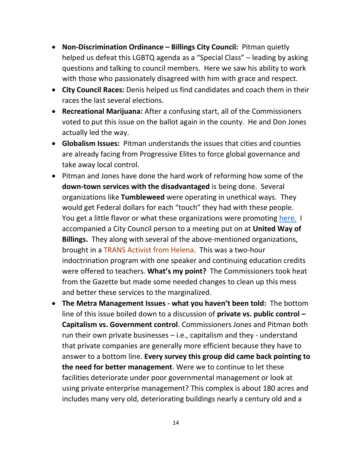- **Non-Discrimination Ordinance – Billings City Council:** Pitman quietly helped us defeat this LGBTQ agenda as a "Special Class" – leading by asking questions and talking to council members. Here we saw his ability to work with those who passionately disagreed with him with grace and respect.
- **City Council Races:** Denis helped us find candidates and coach them in their races the last several elections.
- **Recreational Marijuana:** After a confusing start, all of the Commissioners voted to put this issue on the ballot again in the county. He and Don Jones actually led the way.
- **Globalism Issues:** Pitman understands the issues that cities and counties are already facing from Progressive Elites to force global governance and take away local control.
- Pitman and Jones have done the hard work of reforming how some of the **down-town services with the disadvantaged** is being done. Several organizations like **Tumbleweed** were operating in unethical ways. They would get Federal dollars for each "touch" they had with these people. You get a little flavor or what these organizations were promoting [here.](https://www.bigskyworldview.org/content/docs/Library/Human_Rights_Network_LGBT_Allies_Indoctrination_Issues1.pdf) I accompanied a City Council person to a meeting put on at **United Way of Billings.** They along with several of the above-mentioned organizations, brought in a TRANS Activist from Helena. This was a two-hour indoctrination program with one speaker and continuing education credits were offered to teachers. **What's my point?** The Commissioners took heat from the Gazette but made some needed changes to clean up this mess and better these services to the marginalized.
- **The Metra Management Issues - what you haven't been told:** The bottom line of this issue boiled down to a discussion of **private vs. public control – Capitalism vs. Government control**. Commissioners Jones and Pitman both run their own private businesses – i.e., capitalism and they - understand that private companies are generally more efficient because they have to answer to a bottom line. **Every survey this group did came back pointing to the need for better management**. Were we to continue to let these facilities deteriorate under poor governmental management or look at using private enterprise management? This complex is about 180 acres and includes many very old, deteriorating buildings nearly a century old and a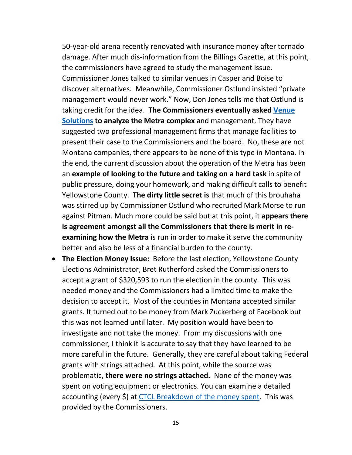50-year-old arena recently renovated with insurance money after tornado damage. After much dis-information from the Billings Gazette, at this point, the commissioners have agreed to study the management issue. Commissioner Jones talked to similar venues in Casper and Boise to discover alternatives. Meanwhile, Commissioner Ostlund insisted "private management would never work." Now, Don Jones tells me that Ostlund is taking credit for the idea. **The Commissioners eventually asked [Venue](https://www.venuesolutionsgroup.com/)  [Solutions](https://www.venuesolutionsgroup.com/) to analyze the Metra complex** and management. They have suggested two professional management firms that manage facilities to present their case to the Commissioners and the board. No, these are not Montana companies, there appears to be none of this type in Montana. In the end, the current discussion about the operation of the Metra has been an **example of looking to the future and taking on a hard task** in spite of public pressure, doing your homework, and making difficult calls to benefit Yellowstone County. **The dirty little secret is** that much of this brouhaha was stirred up by Commissioner Ostlund who recruited Mark Morse to run against Pitman. Much more could be said but at this point, it **appears there is agreement amongst all the Commissioners that there is merit in reexamining how the Metra** is run in order to make it serve the community better and also be less of a financial burden to the county.

• **The Election Money Issue:** Before the last election, Yellowstone County Elections Administrator, Bret Rutherford asked the Commissioners to accept a grant of \$320,593 to run the election in the county. This was needed money and the Commissioners had a limited time to make the decision to accept it. Most of the counties in Montana accepted similar grants. It turned out to be money from Mark Zuckerberg of Facebook but this was not learned until later. My position would have been to investigate and not take the money. From my discussions with one commissioner, I think it is accurate to say that they have learned to be more careful in the future. Generally, they are careful about taking Federal grants with strings attached. At this point, while the source was problematic, **there were no strings attached.** None of the money was spent on voting equipment or electronics. You can examine a detailed accounting (every \$) at [CTCL Breakdown of the money spent.](https://www.bigskyworldview.org/content/docs/Library/CTCL_Reporting_Breakdown.pdf) This was provided by the Commissioners.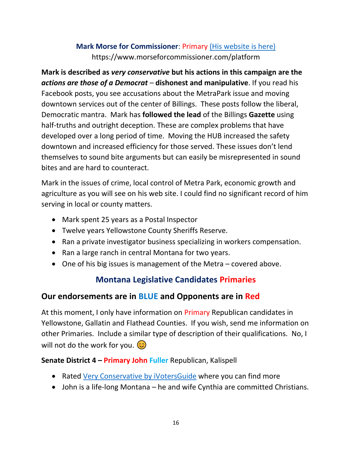## **Mark Morse for Commissioner**: Primary [\(His website is here\)]((His%20website%20is%20here)) https://www.morseforcommissioner.com/platform

**Mark is described as** *very conservative* **but his actions in this campaign are the**  *actions are those of a Democrat* – **dishonest and manipulative**. If you read his Facebook posts, you see accusations about the MetraPark issue and moving downtown services out of the center of Billings. These posts follow the liberal, Democratic mantra. Mark has **followed the lead** of the Billings **Gazette** using half-truths and outright deception. These are complex problems that have developed over a long period of time. Moving the HUB increased the safety downtown and increased efficiency for those served. These issues don't lend themselves to sound bite arguments but can easily be misrepresented in sound bites and are hard to counteract.

Mark in the issues of crime, local control of Metra Park, economic growth and agriculture as you will see on his web site. I could find no significant record of him serving in local or county matters.

- Mark spent 25 years as a Postal Inspector
- Twelve years Yellowstone County Sheriffs Reserve.
- Ran a private investigator business specializing in workers compensation.
- Ran a large ranch in central Montana for two years.
- One of his big issues is management of the Metra covered above.

## **Montana Legislative Candidates Primaries**

## **Our endorsements are in BLUE and Opponents are in Red**

At this moment, I only have information on Primary Republican candidates in Yellowstone, Gallatin and Flathead Counties. If you wish, send me information on other Primaries. Include a similar type of description of their qualifications. No, I will not do the work for you.  $\circledcirc$ 

#### **Senate District 4 – Primary John Fuller** Republican, Kalispell

- Rated [Very Conservative by iVotersGuide](https://ivoterguide.com/candidate?elecK=877&raceK=14826&primarypartyk=-&canK=59711&&path=/all-in-state/Montana/) where you can find more
- John is a life-long Montana he and wife Cynthia are committed Christians.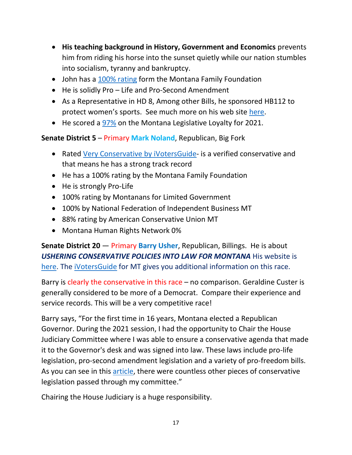- **His teaching background in History, Government and Economics** prevents him from riding his horse into the sunset quietly while our nation stumbles into socialism, tyranny and bankruptcy.
- John has a [100% rating](https://www.montanafamily.org/wp-content/uploads/2021/06/258262-Scorecard.pdf) form the Montana Family Foundation
- He is solidly Pro Life and Pro-Second Amendment
- As a Representative in HD 8, Among other Bills, he sponsored HB112 to protect women's sports. See much more on his web site [here.](https://www.fullersd4.com/)
- He scored a [97%](https://www.legislatorloyalty.com/sessions/11/groups/361) on the Montana Legislative Loyalty for 2021.

**Senate District 5** – Primary **Mark Noland**, Republican, Big Fork

- Rated [Very Conservative by iVotersGuide-](Here%20is%20a%20question%20to%20ask%20your%20Pro-Abortion%20friends%20who%20think%20they%20are%20Christians.) is a verified conservative and that means he has a strong track record
- He has a 100% rating by the Montana Family Foundation
- He is strongly Pro-Life
- 100% rating by Montanans for Limited Government
- 100% by National Federation of Independent Business MT
- 88% rating by American Conservative Union MT
- Montana Human Rights Network 0%

**Senate District 20** — Primary **Barry Usher**, Republican, Billings. He is about *USHERING CONSERVATIVE POLICIES INTO LAW FOR MONTANA* His website is [here.](https://barryusher.com/) The [iVotersGuide](https://ivoterguide.com/all-in-state/Montana/?ElecK=877) for MT gives you additional information on this race.

Barry is clearly the conservative in this race – no comparison. Geraldine Custer is generally considered to be more of a Democrat. Compare their experience and service records. This will be a very competitive race!

Barry says, "For the first time in 16 years, Montana elected a Republican Governor. During the 2021 session, I had the opportunity to Chair the House Judiciary Committee where I was able to ensure a conservative agenda that made it to the Governor's desk and was signed into law. These laws include pro-life legislation, pro-second amendment legislation and a variety of pro-freedom bills. As you can see in this [article,](https://www.ktvh.com/news/montana-house-committee-hears-advances-13-bills-in-marathon-early-session?fbclid=IwAR0yJKEcOhVwg1zqiirDOLyfg8a_flPw-mf7umw9eILnM9cqAza6nsC8Yo8) there were countless other pieces of conservative legislation passed through my committee."

Chairing the House Judiciary is a huge responsibility.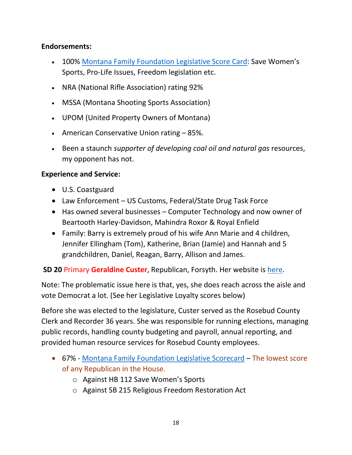#### **Endorsements:**

- 100% [Montana Family Foundation](https://www.montanafamily.org/wp-content/uploads/2021/06/258262-Scorecard.pdf) Legislative Score Card: Save Women's Sports, Pro-Life Issues, Freedom legislation etc.
- NRA (National Rifle Association) rating 92%
- MSSA (Montana Shooting Sports Association)
- UPOM (United Property Owners of Montana)
- American Conservative Union rating 85%.
- Been a staunch *supporter of developing coal oil and natural gas* resources, my opponent has not.

#### **Experience and Service:**

- U.S. Coastguard
- Law Enforcement US Customs, Federal/State Drug Task Force
- Has owned several businesses Computer Technology and now owner of Beartooth Harley-Davidson, Mahindra Roxor & Royal Enfield
- Family: Barry is extremely proud of his wife Ann Marie and 4 children, Jennifer Ellingham (Tom), Katherine, Brian (Jamie) and Hannah and 5 grandchildren, Daniel, Reagan, Barry, Allison and James.

**SD 20** Primary **Geraldine Custer**, Republican, Forsyth. Her website is [here.](https://geraldinecuster.com/)

Note: The problematic issue here is that, yes, she does reach across the aisle and vote Democrat a lot. (See her Legislative Loyalty scores below)

Before she was elected to the legislature, Custer served as the Rosebud County Clerk and Recorder 36 years. She was responsible for running elections, managing public records, handling county budgeting and payroll, annual reporting, and provided human resource services for Rosebud County employees.

- 67% [Montana Family Foundation Legislative Scorecard](https://www.montanafamily.org/wp-content/uploads/2021/06/258262-Scorecard.pdf) The lowest score of any Republican in the House.
	- o Against HB 112 Save Women's Sports
	- o Against SB 215 Religious Freedom Restoration Act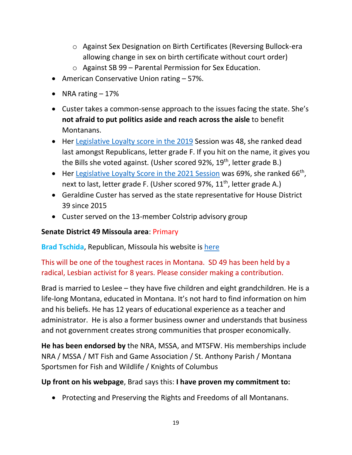- o Against Sex Designation on Birth Certificates (Reversing Bullock-era allowing change in sex on birth certificate without court order)
- o Against SB 99 Parental Permission for Sex Education.
- American Conservative Union rating 57%.
- NRA rating  $-17\%$
- Custer takes a common-sense approach to the issues facing the state. She's **not afraid to put politics aside and reach across the aisle** to benefit Montanans.
- Her [Legislative Loyalty score in the 2019](https://www.legislatorloyalty.com/sessions/8/groups/316) Session was 48, she ranked dead last amongst Republicans, letter grade F. If you hit on the name, it gives you the Bills she voted against. (Usher scored 92%, 19<sup>th</sup>, letter grade B.)
- Her [Legislative Loyalty Score in the 2021 Session](https://www.legislatorloyalty.com/sessions/11/groups/361) was 69%, she ranked 66<sup>th</sup>, next to last, letter grade F. (Usher scored 97%, 11<sup>th</sup>, letter grade A.)
- Geraldine Custer has served as the state representative for House District 39 since 2015
- Custer served on the 13-member Colstrip advisory group

### **Senate District 49 Missoula area**: Primary

**Brad Tschida**, Republican, Missoula his website is [here](https://www.tschidaformontana.com/)

## This will be one of the toughest races in Montana. SD 49 has been held by a radical, Lesbian activist for 8 years. Please consider making a contribution.

Brad is married to Leslee – they have five children and eight grandchildren. He is a life-long Montana, educated in Montana. It's not hard to find information on him and his beliefs. He has 12 years of educational experience as a teacher and administrator. He is also a former business owner and understands that business and not government creates strong communities that prosper economically.

**He has been endorsed by** the NRA, MSSA, and MTSFW. His memberships include NRA / MSSA / MT Fish and Game Association / St. Anthony Parish / Montana Sportsmen for Fish and Wildlife / Knights of Columbus

### **Up front on his webpage**, Brad says this: **I have proven my commitment to:**

• Protecting and Preserving the Rights and Freedoms of all Montanans.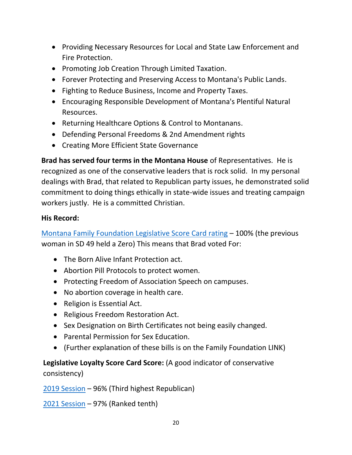- Providing Necessary Resources for Local and State Law Enforcement and Fire Protection.
- Promoting Job Creation Through Limited Taxation.
- Forever Protecting and Preserving Access to Montana's Public Lands.
- Fighting to Reduce Business, Income and Property Taxes.
- Encouraging Responsible Development of Montana's Plentiful Natural Resources.
- Returning Healthcare Options & Control to Montanans.
- Defending Personal Freedoms & 2nd Amendment rights
- Creating More Efficient State Governance

**Brad has served four terms in the Montana House** of Representatives. He is recognized as one of the conservative leaders that is rock solid. In my personal dealings with Brad, that related to Republican party issues, he demonstrated solid commitment to doing things ethically in state-wide issues and treating campaign workers justly. He is a committed Christian.

### **His Record:**

[Montana Family Foundation Legislative Score Card rating](The%20takeaway%20from%20this%20significant%20undertaking%20is%20that%20all%20voters%20in%20Missoula%20can%20be%20assured%20that%20the%20election%20office%20takes%20the%20democratic%20process%20of%20voting%20very%20seriously.%20They%20are%20a%20model%20for%20all%20democratic%20elections.%20If%20elections%20were%20organized%20and%20executed%20in%20the%20manner%20that%20I%20witnessed,%20every%20citizen%20in%20the%20U.S.%20could%20be%20assured%20that%20their%20vote%20was%20counted%20fairly.) – 100% (the previous woman in SD 49 held a Zero) This means that Brad voted For:

- The Born Alive Infant Protection act.
- Abortion Pill Protocols to protect women.
- Protecting Freedom of Association Speech on campuses.
- No abortion coverage in health care.
- Religion is Essential Act.
- Religious Freedom Restoration Act.
- Sex Designation on Birth Certificates not being easily changed.
- Parental Permission for Sex Education.
- (Further explanation of these bills is on the Family Foundation LINK)

## **Legislative Loyalty Score Card Score:** (A good indicator of conservative consistency)

[2019 Session](https://www.legislatorloyalty.com/sessions/8/groups/316) – 96% (Third highest Republican)

[2021 Session](https://www.legislatorloyalty.com/sessions/11/groups/361) – 97% (Ranked tenth)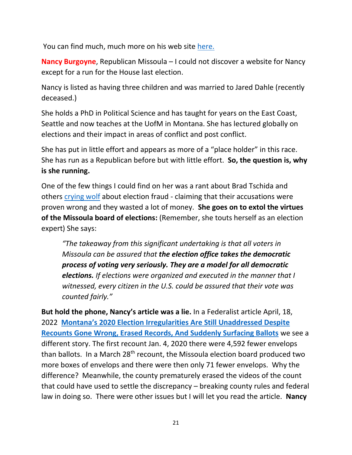You can find much, much more on his web site [here.](NRA%20/%20MSSA%20/%20MT%20Fish%20and%20Game%20Association%20/%20St.%20Anthony%20Parish%20/)

**Nancy Burgoyne**, Republican Missoula – I could not discover a website for Nancy except for a run for the House last election.

Nancy is listed as having three children and was married to Jared Dahle (recently deceased.)

She holds a PhD in Political Science and has taught for years on the East Coast, Seattle and now teaches at the UofM in Montana. She has lectured globally on elections and their impact in areas of conflict and post conflict.

She has put in little effort and appears as more of a "place holder" in this race. She has run as a Republican before but with little effort. **So, the question is, why is she running.** 

One of the few things I could find on her was a rant about Brad Tschida and others [crying wolf](https://missoulian.com/opinion/columnists/nancy-burgoyne-enough-of-the-man-who-cried-wolf/article_d9d6b392-d03b-5e87-86ef-dc1987df2f2f.html) about election fraud - claiming that their accusations were proven wrong and they wasted a lot of money. **She goes on to extol the virtues of the Missoula board of elections:** (Remember, she touts herself as an election expert) She says:

*"The takeaway from this significant undertaking is that all voters in Missoula can be assured that the election office takes the democratic process of voting very seriously. They are a model for all democratic elections. If elections were organized and executed in the manner that I witnessed, every citizen in the U.S. could be assured that their vote was counted fairly."*

**But hold the phone, Nancy's article was a lie.** In a Federalist article April, 18, 2022 **[Montana's 2020 Election Irregularities Are Still Unaddressed Despi](https://thefederalist.com/2022/04/18/montanas-2020-election-irregularities-are-still-unaddressed-despite-recounts-gone-wrong-erased-records-and-suddenly-surfacing-ballots/?utm_source=rss&utm_medium=rss&utm_campaign=montanas-2020-election-irregularities-are-still-unaddressed-despite-recounts-gone-wrong-erased-records-and-suddenly-surfacing-ballots&utm_term=2022-04-18)te [Recounts Gone Wrong, Erased Records, And Suddenly Surfacing Ballots](https://thefederalist.com/2022/04/18/montanas-2020-election-irregularities-are-still-unaddressed-despite-recounts-gone-wrong-erased-records-and-suddenly-surfacing-ballots/?utm_source=rss&utm_medium=rss&utm_campaign=montanas-2020-election-irregularities-are-still-unaddressed-despite-recounts-gone-wrong-erased-records-and-suddenly-surfacing-ballots&utm_term=2022-04-18)** we see a different story. The first recount Jan. 4, 2020 there were 4,592 fewer envelops than ballots. In a March 28<sup>th</sup> recount, the Missoula election board produced two more boxes of envelops and there were then only 71 fewer envelops. Why the difference? Meanwhile, the county prematurely erased the videos of the count that could have used to settle the discrepancy – breaking county rules and federal law in doing so. There were other issues but I will let you read the article. **Nancy**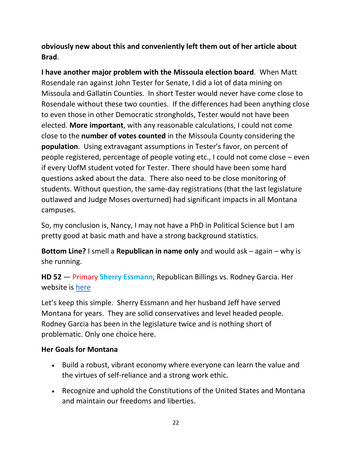**obviously new about this and conveniently left them out of her article about Brad**.

**I have another major problem with the Missoula election board**. When Matt Rosendale ran against John Tester for Senate, I did a lot of data mining on Missoula and Gallatin Counties. In short Tester would never have come close to Rosendale without these two counties. If the differences had been anything close to even those in other Democratic strongholds, Tester would not have been elected. **More important**, with any reasonable calculations, I could not come close to the **number of votes counted** in the Missoula County considering the **population**. Using extravagant assumptions in Tester's favor, on percent of people registered, percentage of people voting etc., I could not come close – even if every UofM student voted for Tester. There should have been some hard questions asked about the data. There also need to be close monitoring of students. Without question, the same-day registrations (that the last legislature outlawed and Judge Moses overturned) had significant impacts in all Montana campuses.

So, my conclusion is, Nancy, I may not have a PhD in Political Science but I am pretty good at basic math and have a strong background statistics.

**Bottom Line?** I smell a **Republican in name only** and would ask – again – why is she running.

**HD 52** — Primary **Sherry Essmann**, Republican Billings vs. Rodney Garcia. Her website is [here](https://www.sherryessmann.com/)

Let's keep this simple. Sherry Essmann and her husband Jeff have served Montana for years. They are solid conservatives and level headed people. Rodney Garcia has been in the legislature twice and is nothing short of problematic. Only one choice here.

#### **Her Goals for Montana**

- Build a robust, vibrant economy where everyone can learn the value and the virtues of self-reliance and a strong work ethic.
- Recognize and uphold the Constitutions of the United States and Montana and maintain our freedoms and liberties.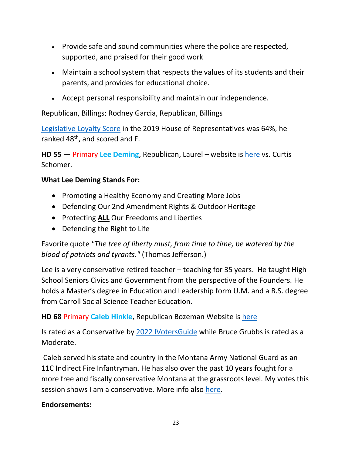- Provide safe and sound communities where the police are respected, supported, and praised for their good work
- Maintain a school system that respects the values of its students and their parents, and provides for educational choice.
- Accept personal responsibility and maintain our independence.

Republican, Billings; Rodney Garcia, Republican, Billings

[Legislative Loyalty Score](https://www.legislatorloyalty.com/sessions/11/groups/361) in the 2019 House of Representatives was 64%, he ranked 48<sup>th</sup>, and scored and F.

**HD 55** — Primary **Lee Deming**, Republican, Laurel – website is [here](https://leeformontana.com/?fbclid=IwAR2Or5PJYmVWmi2BonXm8XgtCsH-Kr2WkTp30IGF8kYx7SHew26vMEyguFw) vs. Curtis Schomer.

### **What Lee Deming Stands For:**

- Promoting a Healthy Economy and Creating More Jobs
- Defending Our 2nd Amendment Rights & Outdoor Heritage
- Protecting **ALL** Our Freedoms and Liberties
- Defending the Right to Life

Favorite quote *"The tree of liberty must, from time to time, be watered by the blood of patriots and tyrants."* (Thomas Jefferson.)

Lee is a very conservative retired teacher – teaching for 35 years. He taught High School Seniors Civics and Government from the perspective of the Founders. He holds a Master's degree in Education and Leadership form U.M. and a B.S. degree from Carroll Social Science Teacher Education.

**HD 68** Primary **Caleb Hinkle**, Republican Bozeman Website is [here](https://calebformontana.org/)

Is rated as a Conservative by [2022 IVotersGuide](https://ivoterguide.com/all-in-state/Montana/?ElecK=877) while Bruce Grubbs is rated as a Moderate.

Caleb served his state and country in the Montana Army National Guard as an 11C Indirect Fire Infantryman. He has also over the past 10 years fought for a more free and fiscally conservative Montana at the grassroots level. My votes this session shows I am a conservative. More info also [here.](https://ivoterguide.com/all-in-state/Montana/?ElecK=877)

### **Endorsements:**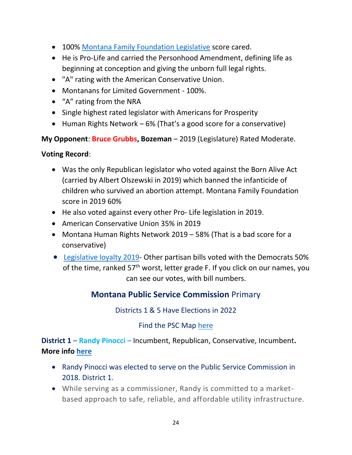- 100% [Montana Family Foundation Legislative](https://www.montanafamily.org/wp-content/uploads/2021/06/258262-Scorecard.pdf) score cared.
- He is Pro-Life and carried the Personhood Amendment, defining life as beginning at conception and giving the unborn full legal rights.
- "A" rating with the American Conservative Union.
- Montanans for Limited Government 100%.
- "A" rating from the NRA
- Single highest rated legislator with Americans for Prosperity
- Human Rights Network 6% (That's a good score for a conservative)

**My Opponent**: **Bruce Grubbs, Bozeman** – 2019 (Legislature) Rated Moderate.

#### **Voting Record**:

- Was the only Republican legislator who voted against the Born Alive Act (carried by Albert Olszewski in 2019) which banned the infanticide of children who survived an abortion attempt. Montana Family Foundation score in 2019 60%
- He also voted against every other Pro- Life legislation in 2019.
- American Conservative Union 35% in 2019
- Montana Human Rights Network 2019 58% (That is a bad score for a conservative)
- [Legislative loyalty 2019-](https://www.legislatorloyalty.com/sessions/8/loyalty) Other partisan bills voted with the Democrats 50% of the time, ranked  $57<sup>th</sup>$  worst, letter grade F. If you click on our names, you can see our votes, with bill numbers.

# **Montana Public Service Commission** Primary

Districts 1 & 5 Have Elections in 2022

## Find the PSC Map [here](https://psc.mt.gov/About-Us/Commissioners/)

**District 1** – **Randy Pinocci –** Incumbent, Republican, Conservative, Incumbent**. More info [here](https://psc.mt.gov/About-Us/Commissioners/)**

- Randy Pinocci was elected to serve on the Public Service Commission in 2018. District 1.
- While serving as a commissioner, Randy is committed to a marketbased approach to safe, reliable, and affordable utility infrastructure.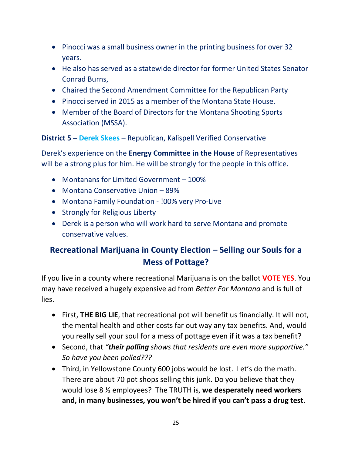- Pinocci was a small business owner in the printing business for over 32 years.
- He also has served as a statewide director for former United States Senator Conrad Burns,
- Chaired the Second Amendment Committee for the Republican Party
- Pinocci served in 2015 as a member of the Montana State House.
- Member of the Board of Directors for the Montana Shooting Sports Association (MSSA).

**District 5 – Derek Skees** – Republican, Kalispell Verified Conservative

Derek's experience on the **Energy Committee in the House** of Representatives will be a strong plus for him. He will be strongly for the people in this office.

- Montanans for Limited Government 100%
- Montana Conservative Union 89%
- Montana Family Foundation !00% very Pro-Live
- Strongly for Religious Liberty
- Derek is a person who will work hard to serve Montana and promote conservative values.

# **Recreational Marijuana in County Election – Selling our Souls for a Mess of Pottage?**

If you live in a county where recreational Marijuana is on the ballot **VOTE YES**. You may have received a hugely expensive ad from *Better For Montana* and is full of lies.

- First, **THE BIG LIE**, that recreational pot will benefit us financially. It will not, the mental health and other costs far out way any tax benefits. And, would you really sell your soul for a mess of pottage even if it was a tax benefit?
- Second, that *"their polling shows that residents are even more supportive." So have you been polled???*
- Third, in Yellowstone County 600 jobs would be lost. Let's do the math. There are about 70 pot shops selling this junk. Do you believe that they would lose 8 ½ employees? The TRUTH is, **we desperately need workers and, in many businesses, you won't be hired if you can't pass a drug test**.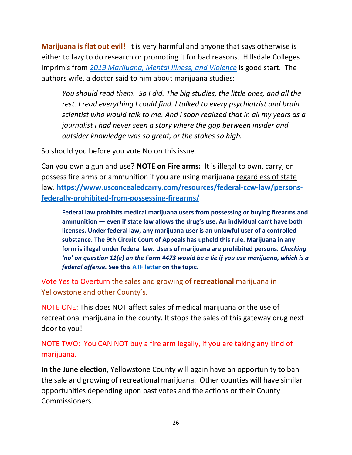**Marijuana is flat out evil!** It is very harmful and anyone that says otherwise is either to lazy to do research or promoting it for bad reasons. Hillsdale Colleges Imprimis from *2019 Marijuana, Mental Illness, and Violence* is good start. The authors wife, a doctor said to him about marijuana studies:

*You should read them. So I did. The big studies, the little ones, and all the rest. I read everything I could find. I talked to every psychiatrist and brain scientist who would talk to me. And I soon realized that in all my years as a journalist I had never seen a story where the gap between insider and outsider knowledge was so great, or the stakes so high.*

So should you before you vote No on this issue.

Can you own a gun and use? **NOTE on Fire arms:** It is illegal to own, carry, or possess fire arms or ammunition if you are using marijuana regardless of state law. **https://www.usconcealedcarry.com/resources/federal-ccw-law/personsfederally-prohibited-from-possessing-firearms/**

**Federal law prohibits medical marijuana users from possessing or buying firearms and ammunition — even if state law allows the drug's use. An individual can't have both licenses. Under federal law, any marijuana user is an unlawful user of a controlled substance. The 9th Circuit Court of Appeals has upheld this rule. Marijuana in any form is illegal under federal law. Users of marijuana are prohibited persons.** *Checking 'no' on question 11(e) on the Form 4473 would be a lie if you use marijuana, which is a federal offense.* **See this ATF letter on the topic.**

Vote Yes to Overturn the sales and growing of **recreational** marijuana in Yellowstone and other County's.

NOTE ONE: This does NOT affect sales of medical marijuana or the use of recreational marijuana in the county. It stops the sales of this gateway drug next door to you!

NOTE TWO: You CAN NOT buy a fire arm legally, if you are taking any kind of marijuana.

**In the June election**, Yellowstone County will again have an opportunity to ban the sale and growing of recreational marijuana. Other counties will have similar opportunities depending upon past votes and the actions or their County Commissioners.